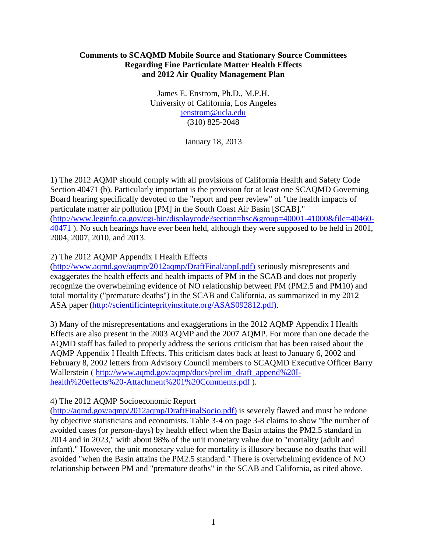## **Comments to SCAQMD Mobile Source and Stationary Source Committees Regarding Fine Particulate Matter Health Effects and 2012 Air Quality Management Plan**

James E. Enstrom, Ph.D., M.P.H. University of California, Los Angeles [jenstrom@ucla.edu](mailto:jenstrom@ucla.edu) (310) 825-2048

January 18, 2013

1) The 2012 AQMP should comply with all provisions of California Health and Safety Code Section 40471 (b). Particularly important is the provision for at least one SCAQMD Governing Board hearing specifically devoted to the "report and peer review" of "the health impacts of particulate matter air pollution [PM] in the South Coast Air Basin [SCAB]." [\(http://www.leginfo.ca.gov/cgi-bin/displaycode?section=hsc&group=40001-41000&file=40460-](http://www.leginfo.ca.gov/cgi-bin/displaycode?section=hsc&group=40001-41000&file=40460-40471) [40471](http://www.leginfo.ca.gov/cgi-bin/displaycode?section=hsc&group=40001-41000&file=40460-40471) ). No such hearings have ever been held, although they were supposed to be held in 2001, 2004, 2007, 2010, and 2013.

## 2) The 2012 AQMP Appendix I Health Effects

[\(http://www.aqmd.gov/aqmp/2012aqmp/DraftFinal/appI.pdf\)](http://www.aqmd.gov/aqmp/2012aqmp/DraftFinal/appI.pdf)) seriously misrepresents and exaggerates the health effects and health impacts of PM in the SCAB and does not properly recognize the overwhelming evidence of NO relationship between PM (PM2.5 and PM10) and total mortality ("premature deaths") in the SCAB and California, as summarized in my 2012 ASA paper [\(http://scientificintegrityinstitute.org/ASAS092812.pdf\).](http://scientificintegrityinstitute.org/ASAS092812.pdf))

3) Many of the misrepresentations and exaggerations in the 2012 AQMP Appendix I Health Effects are also present in the 2003 AQMP and the 2007 AQMP. For more than one decade the AQMD staff has failed to properly address the serious criticism that has been raised about the AQMP Appendix I Health Effects. This criticism dates back at least to January 6, 2002 and February 8, 2002 letters from Advisory Council members to SCAQMD Executive Officer Barry Wallerstein ( [http://www.aqmd.gov/aqmp/docs/prelim\\_draft\\_append%20I](http://www.aqmd.gov/aqmp/docs/prelim_draft_append%20I-health%20effects%20-Attachment%201%20Comments.pdf)[health%20effects%20-Attachment%201%20Comments.pdf](http://www.aqmd.gov/aqmp/docs/prelim_draft_append%20I-health%20effects%20-Attachment%201%20Comments.pdf) ).

#### 4) The 2012 AQMP Socioeconomic Report

[\(http://aqmd.gov/aqmp/2012aqmp/DraftFinalSocio.pdf\)](http://aqmd.gov/aqmp/2012aqmp/DraftFinalSocio.pdf)) is severely flawed and must be redone by objective statisticians and economists. Table 3-4 on page 3-8 claims to show "the number of avoided cases (or person-days) by health effect when the Basin attains the PM2.5 standard in 2014 and in 2023," with about 98% of the unit monetary value due to "mortality (adult and infant)." However, the unit monetary value for mortality is illusory because no deaths that will avoided "when the Basin attains the PM2.5 standard." There is overwhelming evidence of NO relationship between PM and "premature deaths" in the SCAB and California, as cited above.